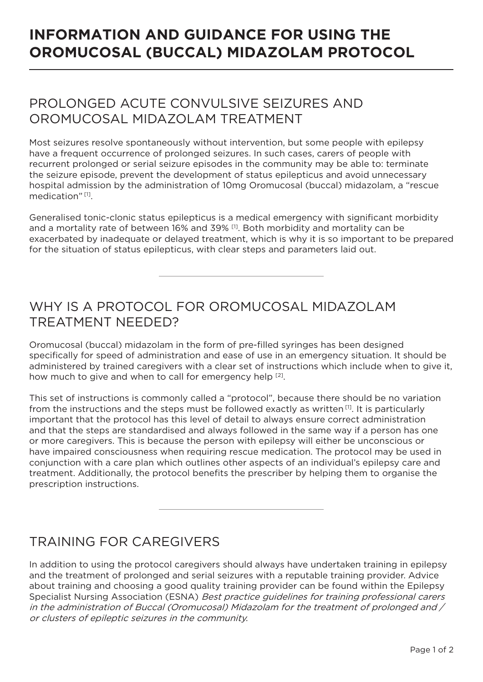# **INFORMATION AND GUIDANCE FOR USING THE OROMUCOSAL (BUCCAL) MIDAZOLAM PROTOCOL**

## PROLONGED ACUTE CONVULSIVE SEIZURES AND OROMUCOSAL MIDAZOLAM TREATMENT

Most seizures resolve spontaneously without intervention, but some people with epilepsy have a frequent occurrence of prolonged seizures. In such cases, carers of people with recurrent prolonged or serial seizure episodes in the community may be able to: terminate the seizure episode, prevent the development of status epilepticus and avoid unnecessary hospital admission by the administration of 10mg Oromucosal (buccal) midazolam, a "rescue medication" [1].

Generalised tonic-clonic status epilepticus is a medical emergency with significant morbidity and a mortality rate of between 16% and 39% [1]. Both morbidity and mortality can be exacerbated by inadequate or delayed treatment, which is why it is so important to be prepared for the situation of status epilepticus, with clear steps and parameters laid out.

## WHY IS A PROTOCOL FOR OROMUCOSAL MIDAZOLAM TREATMENT NEEDED?

Oromucosal (buccal) midazolam in the form of pre-filled syringes has been designed specifically for speed of administration and ease of use in an emergency situation. It should be administered by trained caregivers with a clear set of instructions which include when to give it, how much to give and when to call for emergency help <sup>[2]</sup>.

This set of instructions is commonly called a "protocol", because there should be no variation from the instructions and the steps must be followed exactly as written  $[1]$ . It is particularly important that the protocol has this level of detail to always ensure correct administration and that the steps are standardised and always followed in the same way if a person has one or more caregivers. This is because the person with epilepsy will either be unconscious or have impaired consciousness when requiring rescue medication. The protocol may be used in conjunction with a care plan which outlines other aspects of an individual's epilepsy care and treatment. Additionally, the protocol benefits the prescriber by helping them to organise the prescription instructions.

#### TRAINING FOR CAREGIVERS

In addition to using the protocol caregivers should always have undertaken training in epilepsy and the treatment of prolonged and serial seizures with a reputable training provider. Advice about training and choosing a good quality training provider can be found within the Epilepsy Specialist Nursing Association (ESNA) *Best practice guidelines for training professional carers* in the administration of Buccal (Oromucosal) Midazolam for the treatment of prolonged and / or clusters of epileptic seizures in the community.